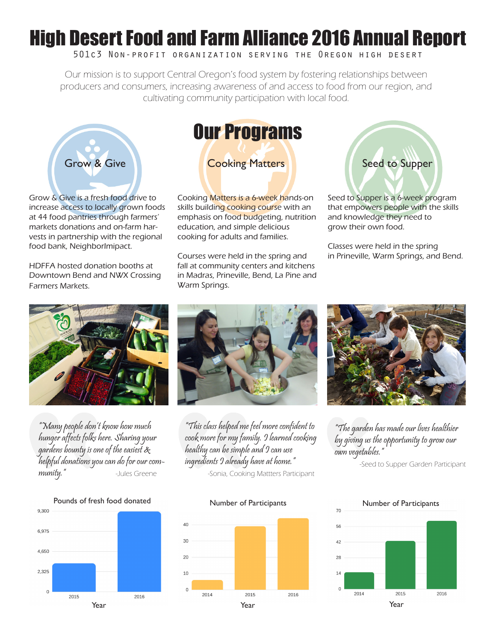## High Desert Food and Farm Alliance 2016 Annual Report

#### 501c3 Non-profit organization serving the Oregon high desert

Our mission is to support Central Oregon's food system by fostering relationships between producers and consumers, increasing awareness of and access to food from our region, and cultivating community participation with local food.



Grow & Give is a fresh food drive to increase access to locally grown foods at 44 food pantries through farmers' markets donations and on-farm harvests in partnership with the regional food bank, NeighborImipact.

HDFFA hosted donation booths at Downtown Bend and NWX Crossing Farmers Markets.



Cooking Matters is a 6-week hands-on skills building cooking course with an emphasis on food budgeting, nutrition education, and simple delicious cooking for adults and families.

Courses were held in the spring and fall at community centers and kitchens in Madras, Prineville, Bend, La Pine and Warm Springs.



Seed to Supper is a 6-week program that empowers people with the skills and knowledge they need to grow their own food.

Classes were held in the spring in Prineville, Warm Springs, and Bend.



"Many people don't know how much hunger affects folks here. Sharing your gardens bounty is one of the easiest & helpful donations you can do for our com**munity."** -Jules Greene -Sonia, Cooking Mattters Participant



"This class helped me feel more confident to cook more for my family. I learned cooking healthy can be simple and I can use ingredients I already have at home."





"The garden has made our lives healthier by giving us the opportunity to grow our own vegetables."

-Seed to Supper Garden Participant